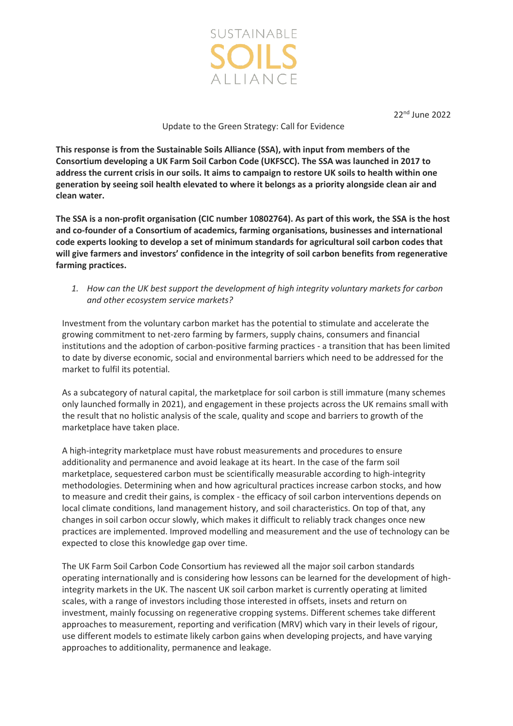

22nd June 2022

## Update to the Green Strategy: Call for Evidence

**This response is from the Sustainable Soils Alliance (SSA), with input from members of the Consortium developing a UK Farm Soil Carbon Code (UKFSCC). The SSA was launched in 2017 to address the current crisis in our soils. It aims to campaign to restore UK soils to health within one generation by seeing soil health elevated to where it belongs as a priority alongside clean air and clean water.** 

**The SSA is a non-profit organisation (CIC number 10802764). As part of this work, the SSA is the host and co-founder of a Consortium of academics, farming organisations, businesses and international code experts looking to develop a set of minimum standards for agricultural soil carbon codes that will give farmers and investors' confidence in the integrity of soil carbon benefits from regenerative farming practices.** 

*1. How can the UK best support the development of high integrity voluntary markets for carbon and other ecosystem service markets?*

Investment from the voluntary carbon market has the potential to stimulate and accelerate the growing commitment to net-zero farming by farmers, supply chains, consumers and financial institutions and the adoption of carbon-positive farming practices - a transition that has been limited to date by diverse economic, social and environmental barriers which need to be addressed for the market to fulfil its potential.

As a subcategory of natural capital, the marketplace for soil carbon is still immature (many schemes only launched formally in 2021), and engagement in these projects across the UK remains small with the result that no holistic analysis of the scale, quality and scope and barriers to growth of the marketplace have taken place.

A high-integrity marketplace must have robust measurements and procedures to ensure additionality and permanence and avoid leakage at its heart. In the case of the farm soil marketplace, sequestered carbon must be scientifically measurable according to high-integrity methodologies. Determining when and how agricultural practices increase carbon stocks, and how to measure and credit their gains, is complex - the efficacy of soil carbon interventions depends on local climate conditions, land management history, and soil characteristics. On top of that, any changes in soil carbon occur slowly, which makes it difficult to reliably track changes once new practices are implemented. Improved modelling and measurement and the use of technology can be expected to close this knowledge gap over time.

The UK Farm Soil Carbon Code Consortium has reviewed all the major soil carbon standards operating internationally and is considering how lessons can be learned for the development of highintegrity markets in the UK. The nascent UK soil carbon market is currently operating at limited scales, with a range of investors including those interested in offsets, insets and return on investment, mainly focussing on regenerative cropping systems. Different schemes take different approaches to measurement, reporting and verification (MRV) which vary in their levels of rigour, use different models to estimate likely carbon gains when developing projects, and have varying approaches to additionality, permanence and leakage.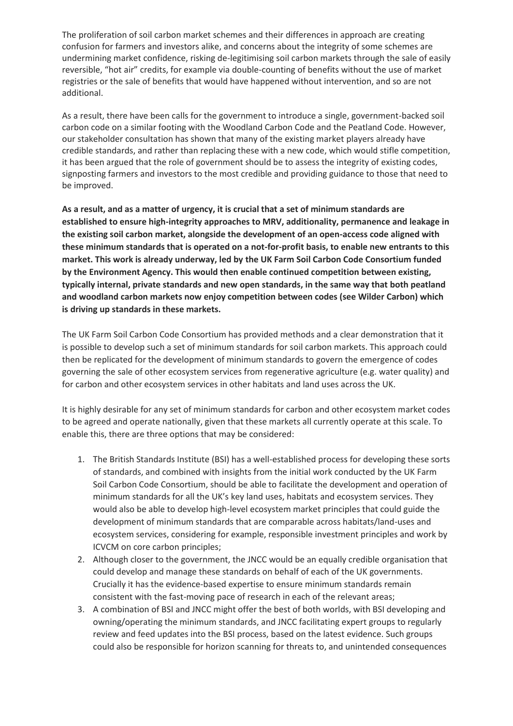The proliferation of soil carbon market schemes and their differences in approach are creating confusion for farmers and investors alike, and concerns about the integrity of some schemes are undermining market confidence, risking de-legitimising soil carbon markets through the sale of easily reversible, "hot air" credits, for example via double-counting of benefits without the use of market registries or the sale of benefits that would have happened without intervention, and so are not additional.

As a result, there have been calls for the government to introduce a single, government-backed soil carbon code on a similar footing with the Woodland Carbon Code and the Peatland Code. However, our stakeholder consultation has shown that many of the existing market players already have credible standards, and rather than replacing these with a new code, which would stifle competition, it has been argued that the role of government should be to assess the integrity of existing codes, signposting farmers and investors to the most credible and providing guidance to those that need to be improved.

**As a result, and as a matter of urgency, it is crucial that a set of minimum standards are established to ensure high-integrity approaches to MRV, additionality, permanence and leakage in the existing soil carbon market, alongside the development of an open-access code aligned with these minimum standards that is operated on a not-for-profit basis, to enable new entrants to this market. This work is already underway, led by the UK Farm Soil Carbon Code Consortium funded by the Environment Agency. This would then enable continued competition between existing, typically internal, private standards and new open standards, in the same way that both peatland and woodland carbon markets now enjoy competition between codes (see Wilder Carbon) which is driving up standards in these markets.** 

The UK Farm Soil Carbon Code Consortium has provided methods and a clear demonstration that it is possible to develop such a set of minimum standards for soil carbon markets. This approach could then be replicated for the development of minimum standards to govern the emergence of codes governing the sale of other ecosystem services from regenerative agriculture (e.g. water quality) and for carbon and other ecosystem services in other habitats and land uses across the UK.

It is highly desirable for any set of minimum standards for carbon and other ecosystem market codes to be agreed and operate nationally, given that these markets all currently operate at this scale. To enable this, there are three options that may be considered:

- 1. The British Standards Institute (BSI) has a well-established process for developing these sorts of standards, and combined with insights from the initial work conducted by the UK Farm Soil Carbon Code Consortium, should be able to facilitate the development and operation of minimum standards for all the UK's key land uses, habitats and ecosystem services. They would also be able to develop high-level ecosystem market principles that could guide the development of minimum standards that are comparable across habitats/land-uses and ecosystem services, considering for example, responsible investment principles and work by ICVCM on core carbon principles;
- 2. Although closer to the government, the JNCC would be an equally credible organisation that could develop and manage these standards on behalf of each of the UK governments. Crucially it has the evidence-based expertise to ensure minimum standards remain consistent with the fast-moving pace of research in each of the relevant areas;
- 3. A combination of BSI and JNCC might offer the best of both worlds, with BSI developing and owning/operating the minimum standards, and JNCC facilitating expert groups to regularly review and feed updates into the BSI process, based on the latest evidence. Such groups could also be responsible for horizon scanning for threats to, and unintended consequences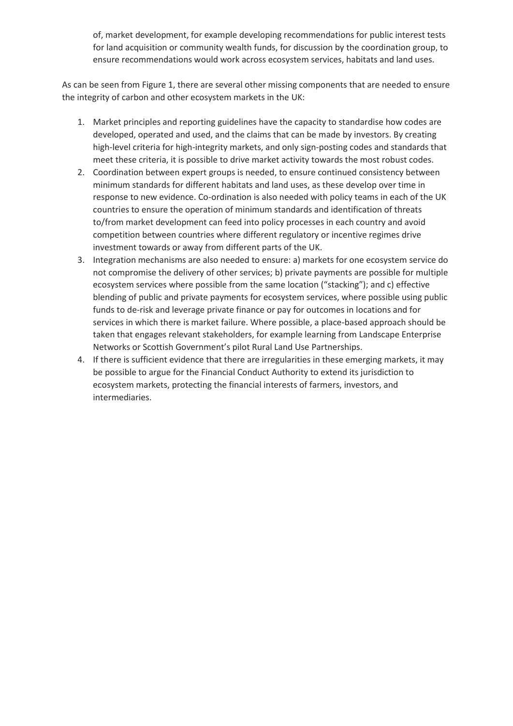of, market development, for example developing recommendations for public interest tests for land acquisition or community wealth funds, for discussion by the coordination group, to ensure recommendations would work across ecosystem services, habitats and land uses.

As can be seen from Figure 1, there are several other missing components that are needed to ensure the integrity of carbon and other ecosystem markets in the UK:

- 1. Market principles and reporting guidelines have the capacity to standardise how codes are developed, operated and used, and the claims that can be made by investors. By creating high-level criteria for high-integrity markets, and only sign-posting codes and standards that meet these criteria, it is possible to drive market activity towards the most robust codes.
- 2. Coordination between expert groups is needed, to ensure continued consistency between minimum standards for different habitats and land uses, as these develop over time in response to new evidence. Co-ordination is also needed with policy teams in each of the UK countries to ensure the operation of minimum standards and identification of threats to/from market development can feed into policy processes in each country and avoid competition between countries where different regulatory or incentive regimes drive investment towards or away from different parts of the UK.
- 3. Integration mechanisms are also needed to ensure: a) markets for one ecosystem service do not compromise the delivery of other services; b) private payments are possible for multiple ecosystem services where possible from the same location ("stacking"); and c) effective blending of public and private payments for ecosystem services, where possible using public funds to de-risk and leverage private finance or pay for outcomes in locations and for services in which there is market failure. Where possible, a place-based approach should be taken that engages relevant stakeholders, for example learning from Landscape Enterprise Networks or Scottish Government's pilot Rural Land Use Partnerships.
- 4. If there is sufficient evidence that there are irregularities in these emerging markets, it may be possible to argue for the Financial Conduct Authority to extend its jurisdiction to ecosystem markets, protecting the financial interests of farmers, investors, and intermediaries.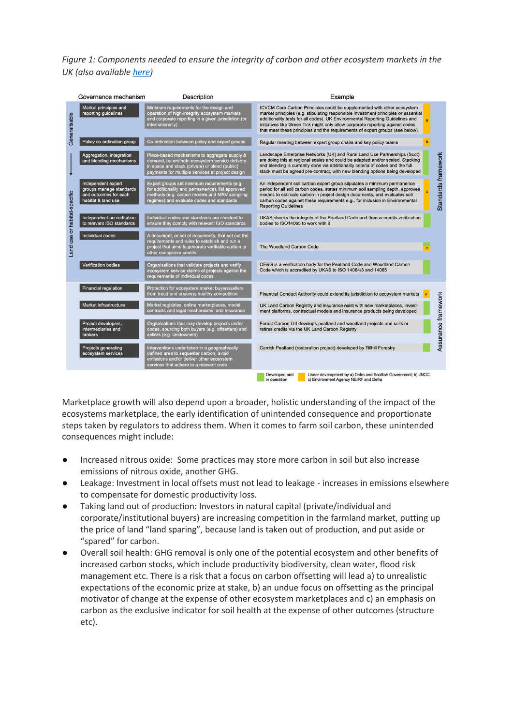*Figure 1: Components needed to ensure the integrity of carbon and other ecosystem markets in the UK (also available [here\)](https://sustainablesoils.org/images/pdf/Ecosystem_markets_governance_hierarchy.pdf)*



Marketplace growth will also depend upon a broader, holistic understanding of the impact of the ecosystems marketplace, the early identification of unintended consequence and proportionate steps taken by regulators to address them. When it comes to farm soil carbon, these unintended consequences might include:

- Increased nitrous oxide: Some practices may store more carbon in soil but also increase emissions of nitrous oxide, another GHG.
- Leakage: Investment in local offsets must not lead to leakage increases in emissions elsewhere to compensate for domestic productivity loss.
- Taking land out of production: Investors in natural capital (private/individual and corporate/institutional buyers) are increasing competition in the farmland market, putting up the price of land "land sparing", because land is taken out of production, and put aside or "spared" for carbon.
- Overall soil health: GHG removal is only one of the potential ecosystem and other benefits of increased carbon stocks, which include productivity biodiversity, clean water, flood risk management etc. There is a risk that a focus on carbon offsetting will lead a) to unrealistic expectations of the economic prize at stake, b) an undue focus on offsetting as the principal motivator of change at the expense of other ecosystem marketplaces and c) an emphasis on carbon as the exclusive indicator for soil health at the expense of other outcomes (structure etc).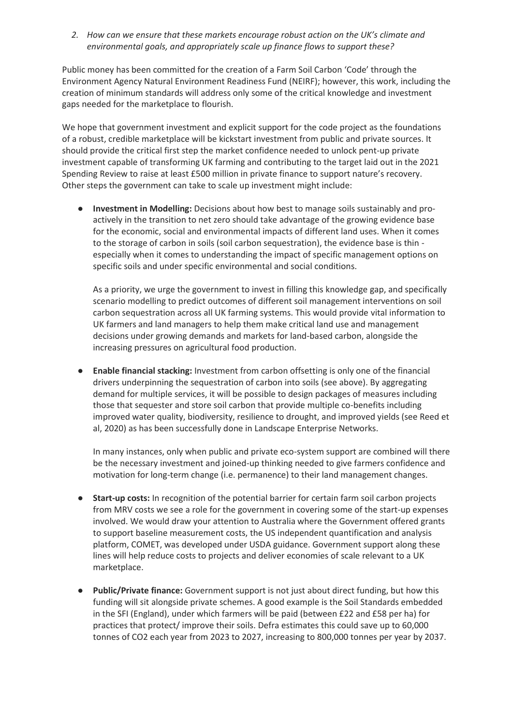*2. How can we ensure that these markets encourage robust action on the UK's climate and environmental goals, and appropriately scale up finance flows to support these?*

Public money has been committed for the creation of a Farm Soil Carbon 'Code' through the Environment Agency Natural Environment Readiness Fund (NEIRF); however, this work, including the creation of minimum standards will address only some of the critical knowledge and investment gaps needed for the marketplace to flourish.

We hope that government investment and explicit support for the code project as the foundations of a robust, credible marketplace will be kickstart investment from public and private sources. It should provide the critical first step the market confidence needed to unlock pent-up private investment capable of transforming UK farming and contributing to the target laid out in the 2021 Spending Review to raise at least £500 million in private finance to support nature's recovery. Other steps the government can take to scale up investment might include:

● **Investment in Modelling:** Decisions about how best to manage soils sustainably and proactively in the transition to net zero should take advantage of the growing evidence base for the economic, social and environmental impacts of different land uses. When it comes to the storage of carbon in soils (soil carbon sequestration), the evidence base is thin especially when it comes to understanding the impact of specific management options on specific soils and under specific environmental and social conditions.

As a priority, we urge the government to invest in filling this knowledge gap, and specifically scenario modelling to predict outcomes of different soil management interventions on soil carbon sequestration across all UK farming systems. This would provide vital information to UK farmers and land managers to help them make critical land use and management decisions under growing demands and markets for land-based carbon, alongside the increasing pressures on agricultural food production.

● **Enable financial stacking:** Investment from carbon offsetting is only one of the financial drivers underpinning the sequestration of carbon into soils (see above). By aggregating demand for multiple services, it will be possible to design packages of measures including those that sequester and store soil carbon that provide multiple co-benefits including improved water quality, biodiversity, resilience to drought, and improved yields (see Reed et al, 2020) as has been successfully done in Landscape Enterprise Networks.

In many instances, only when public and private eco-system support are combined will there be the necessary investment and joined-up thinking needed to give farmers confidence and motivation for long-term change (i.e. permanence) to their land management changes.

- **Start-up costs:** In recognition of the potential barrier for certain farm soil carbon projects from MRV costs we see a role for the government in covering some of the start-up expenses involved. We would draw your attention to Australia where the Government offered grants to support baseline measurement costs, the US independent quantification and analysis platform, COMET, was developed under USDA guidance. Government support along these lines will help reduce costs to projects and deliver economies of scale relevant to a UK marketplace.
- Public/Private finance: Government support is not just about direct funding, but how this funding will sit alongside private schemes. A good example is the Soil Standards embedded in the SFI (England), under which farmers will be paid (between £22 and £58 per ha) for practices that protect/ improve their soils. Defra estimates this could save up to 60,000 tonnes of CO2 each year from 2023 to 2027, increasing to 800,000 tonnes per year by 2037.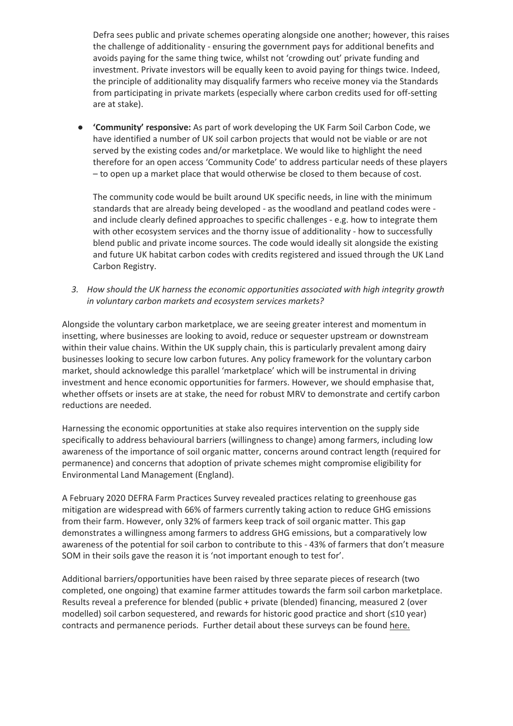Defra sees public and private schemes operating alongside one another; however, this raises the challenge of additionality - ensuring the government pays for additional benefits and avoids paying for the same thing twice, whilst not 'crowding out' private funding and investment. Private investors will be equally keen to avoid paying for things twice. Indeed, the principle of additionality may disqualify farmers who receive money via the Standards from participating in private markets (especially where carbon credits used for off-setting are at stake).

● **'Community' responsive:** As part of work developing the UK Farm Soil Carbon Code, we have identified a number of UK soil carbon projects that would not be viable or are not served by the existing codes and/or marketplace. We would like to highlight the need therefore for an open access 'Community Code' to address particular needs of these players – to open up a market place that would otherwise be closed to them because of cost.

The community code would be built around UK specific needs, in line with the minimum standards that are already being developed - as the woodland and peatland codes were and include clearly defined approaches to specific challenges - e.g. how to integrate them with other ecosystem services and the thorny issue of additionality - how to successfully blend public and private income sources. The code would ideally sit alongside the existing and future UK habitat carbon codes with credits registered and issued through the UK Land Carbon Registry.

*3. How should the UK harness the economic opportunities associated with high integrity growth in voluntary carbon markets and ecosystem services markets?* 

Alongside the voluntary carbon marketplace, we are seeing greater interest and momentum in insetting, where businesses are looking to avoid, reduce or sequester upstream or downstream within their value chains. Within the UK supply chain, this is particularly prevalent among dairy businesses looking to secure low carbon futures. Any policy framework for the voluntary carbon market, should acknowledge this parallel 'marketplace' which will be instrumental in driving investment and hence economic opportunities for farmers. However, we should emphasise that, whether offsets or insets are at stake, the need for robust MRV to demonstrate and certify carbon reductions are needed.

Harnessing the economic opportunities at stake also requires intervention on the supply side specifically to address behavioural barriers (willingness to change) among farmers, including low awareness of the importance of soil organic matter, concerns around contract length (required for permanence) and concerns that adoption of private schemes might compromise eligibility for Environmental Land Management (England).

A February 2020 DEFRA Farm Practices Survey revealed practices relating to greenhouse gas mitigation are widespread with 66% of farmers currently taking action to reduce GHG emissions from their farm. However, only 32% of farmers keep track of soil organic matter. This gap demonstrates a willingness among farmers to address GHG emissions, but a comparatively low awareness of the potential for soil carbon to contribute to this - 43% of farmers that don't measure SOM in their soils gave the reason it is 'not important enough to test for'.

Additional barriers/opportunities have been raised by three separate pieces of research (two completed, one ongoing) that examine farmer attitudes towards the farm soil carbon marketplace. Results reveal a preference for blended (public + private (blended) financing, measured 2 (over modelled) soil carbon sequestered, and rewards for historic good practice and short (≤10 year) contracts and permanence periods. Further detail about these surveys can be found [here.](https://sustainablesoils.org/images/pdf/UKFSCC_Workshop_3_Summary.pdf)